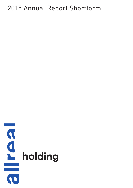# 2015 Annual Report Shortform

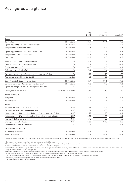# Key figures at a glance

|                                                                     |                       | 2015<br>31.12.2015* | 2014<br>31.12.2014* | Change in %1 |
|---------------------------------------------------------------------|-----------------------|---------------------|---------------------|--------------|
| Group                                                               |                       |                     |                     |              |
| Total sales <sup>2</sup>                                            | CHF million           | 793.9               | 1036.4              | $-23.4$      |
| Operating profit (EBIT) incl. revaluation gains                     | CHF million           | 193.2               | 170.9               | $+13.0$      |
| Net profit incl. revaluation effect                                 | CHF million           | 121.9               | 104.4               | $+16.8$      |
| Operating profit (EBIT) excl. revaluation gains                     | CHF million           | 177.4               | 176.8               | $+0.3$       |
| Net profit excl. revaluation effect                                 | CHF million           | 109.7               | 109.1               | $+0.5$       |
| Cash flow                                                           | CHF million           | 33.7                | 158.5               | $-78.7$      |
| Return on equity incl. revaluation effect                           | %                     | 6.2                 | 5.3                 | $+0.9$       |
| Return on equity excl. revaluation effect                           | $\%$                  | 5.9                 | 5.4                 | $+0.5$       |
| Equity ratio on cut-off date                                        | $\%$                  | 48.2                | 47.6                | $+0.6$       |
| Net gearing on cut-off date <sup>3</sup>                            | $\%$                  | 88.0                | 87.9                | $+0.1$       |
| Average interest rate on financial liabilities on cut-off date      | $\%$                  | 2.15                | 1.93                | $+0.22$      |
| Average duration of financial liability                             | months                | 52                  | 50                  | $+2$         |
| Sales Projects & Development division                               | CHF million           | 612.9               | 870.6               | $-29.6$      |
| Earnings from Projects & Development division <sup>4</sup>          | CHF million           | 78.8                | 102.8               | $-23.3$      |
| Operating margin Projects & Development division <sup>5</sup>       | $\frac{0}{n}$         | 27.4                | 44.9                | $-17.5$      |
| Employees on cut-off date                                           | full-time equivalents | 312                 | 348                 | $-36$        |
| Allreal Holding AG                                                  |                       |                     |                     |              |
| Net profit                                                          | CHF million           | 28.9                | 47.5                | $-39.2$      |
| Share capital                                                       | CHF million           | 797.1               | 797.1               |              |
| Share                                                               |                       |                     |                     |              |
| Earnings per share incl. revaluation effect                         | CHF                   | 7.66                | 6.56                | $+16.8$      |
| Earnings per share excl. revaluation effect                         | CHF                   | 6.89                | 6.85                | $+0.6$       |
| Net asset value (NAV) per share before deferred tax on cut-off date | <b>CHF</b>            | 132.95              | 129.10              | $+3.0$       |
| Net asset value (NAV) per share after deferred tax on cut-off date  | <b>CHF</b>            | 125.35              | 122.55              | $+2.3$       |
| Profit distribution per share <sup>6</sup>                          | CHF                   | 5.75                | 5.50                | $+4.5$       |
| Share price on cut-off date                                         | CHF                   | 133.60              | 137.10              | $-2.6$       |
| Dividend/Profit distribution yield <sup>6</sup>                     | $\frac{0}{0}$         | 4.3                 | 4.0                 | $+0.3$       |
| Valuation on cut-off date                                           |                       |                     |                     |              |
| Market capitalisation7                                              | CHF million           | 2125.5              | 2 1 8 5 . 5         | $-2.7$       |
| Enterprise value <sup>8</sup>                                       | CHF million           | 3879.7              | 3903.9              | $-0.6$       |

\* Should no further particulars be given, values referring to the income statement concern the full year and balance sheet value the cut-off dates 31.12.2015 resp. 31.12.2014

<sup>1</sup> Changes in quantum and percentage values shown as absolute difference

<sup>2</sup> Sales resulting from rental of investment real estate plus completed project volume Projects & Development division

<sup>3</sup> Finance liabilities minus cash and marketable securities as percentage of equity

<sup>4</sup> Income from realisation in Projects & Development, Sales Development, capitalised company-produced assets and various revenues minus direct expenses from realisation in Projects & Development, Sales Development

<sup>5</sup> EBIT excl. revaluation and restoration of value adjustments on projects as percentage of profit from business activity (balance of operating income,

direct operating expenses, capitalised company-produced assets and earnings from sale of investment real estate)

<sup>6</sup> Board of directors proposal of CHF 5.75 per share for the 2015 financial year by means of repayment of reserves from capital contributions

<sup>7</sup> Stock price at balance sheet date multiplied by the number of outstanding shares

<sup>8</sup> Market capitalisation plus net finance debts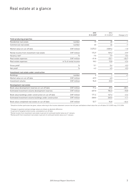# Real estate at a glance

|                                                          |                       | 2015<br>31.12.2015* | 2014<br>31.12.2014* | Change in %1 |
|----------------------------------------------------------|-----------------------|---------------------|---------------------|--------------|
| Yield-producing properties                               |                       |                     |                     |              |
| Residential real estate                                  | number                | 19                  | 20                  | $-1$         |
| Commercial real estate                                   | number                | 43                  | 44                  | $-1$         |
| Market value on cut-off date                             | CHF million           | 3475.3              | 3509.6              | $-1.0$       |
| Rental income from investment real estate                | CHF million           | 174.9               | 159.2               | $+9.9$       |
| Vacancy rate <sup>2</sup>                                | $\frac{0}{0}$         | 7.5                 | 7.9                 | $-0.4$       |
| Real estate expenses                                     | CHF million           | $-31.8$             | $-25.1$             | $+26.7$      |
| Real estate expenses                                     | in % of rental income | 18.2                | 15.8                | $+2.4$       |
| Gross yield <sup>3</sup>                                 | $\frac{0}{0}$         | 5.1                 | 5.4                 | $-0.3$       |
| Net yield <sup>4</sup>                                   | $\frac{0}{0}$         | 4.2                 | 4.5                 | $-0.3$       |
| Investment real estate under construction                |                       |                     |                     |              |
| <b>Buildings</b>                                         | number                | $\overline{2}$      |                     | $+1$         |
| Market value on cut-off date                             | CHF million           | 49.9                | 4.0                 |              |
| Investment volume                                        | CHF million           | 96.0                | 23.0                |              |
| Development real estate                                  |                       |                     |                     |              |
| Book value development reserves on cut-off date          | CHF million           | 71.4                | 39.0                | $+83.1$      |
| Estimated investment volume development reserves         | CHF million           | 637.0               | 784.0               | $-18.8$      |
| Book value buildings under construction on cut-off date  | CHF million           | 171.4               | 167.4               | $+2.4$       |
| Estimated investment volume buildings under construction | CHF million           | 268.0               | 265.0               | $+1.1$       |
| Book value completed real estate on cut-off date         | CHF million           | 52.7                | 94.8                | $-44.4$      |

\* Should no further particulars be given, values referring to the income statement concern the full year and balance sheet value the cut-off dates 31.12.2015 resp. 31.12.2014

<sup>1</sup> Changes in quantum and percentage values are shown as absolute difference

<sup>2</sup> In percent of targeted rental income, cumulated at cut-off date

 $3$  Rental income from investment real estate in percent of continued market value as at 1 January

<sup>4</sup> Rental profit from investment real estate in percent of continued market value as at 1 January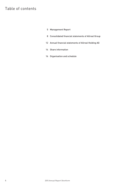# Table of contents

- Management Report
- Consolidated financial statements of Allreal Group
- Annual financial statements of Allreal Holding AG
- Share information
- Organisation and schedule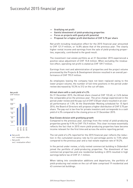- Gratifying net profit
- Gainful divestment of yield-producing properties
- Focus on projects with good profit potential
- Proposal for a higher profit distribution of CHF 5.75 per share

Net profit including revaluation effect for the 2015 financial year amounted to CHF 121.9 million, or 16.8% above that of the previous year. The clearly higher rental income and earnings from the sale of yield-producing properties, especially, contributed to the good result.

The investment real estate portfolio as at 31 December 2015 experienced a positive value adjustment of CHF 15.8 million. When excluding the revaluation effect, operating net profit is stated as CHF 109.7 million.

Earnings from rent and administration of properties and the project volume processed by the Projects & Development division resulted in an overall performance of CHF 793.9 million.

As employees leaving the company have not been replaced owing to the lower project volume, the number of full-time positions in the period under review decreased by 10.3% to 312 on the cut-off date.

#### Allreal share with a cash yield of 4.3%

On 31 December 2015, the Allreal share closed at CHF 133.60, or 2.6% below the comparable price the previous year. The price change experienced in the period under review and the pay-out of CHF 5.50 per share resulted in an overall performance of 1.5%. At the Shareholder Meeting scheduled for 15 April 2016, the Board of Directors will propose a higher distribution of CHF 5.75 per share. The pay-out is tax-free for private investors and corresponds to a cash yield of 4.3% compared to the closing price on 31 December 2015.

#### Real Estate division with gratifying growth

Compared to the previous year, earnings from the rental of yield-producing properties grew by 9.9% to CHF 174.9 million. This clear increase essentially reflects the fact that in 2015 more yield-producing properties have become income relevant for the first time and across the entire reporting period.

The net yield of 4.2% reported for the 2015 financial year reflects the reduction in the cumulated vacancy rate by 0.4 percentage points to 7.5% when compared to the previous year and a real-estate expense rate of 18.2%.

In the period under review, a fully rented commercial building in Dübendorf joined the portfolio of yield-producing properties. The divestment of two commercial properties and one residential building in 2015 resulted in high earnings before tax of CHF 21.1 million.

When taking into consideration additions and departures, the portfolio of yield-producing real estate on the cut-off date comprised 19 residential and 43 commercial buildings.





Net profit

1 Net profit. In the series in the series of the series of the series of the series of the series of the series

incl. revaluation effec

Net profit. The profit of the series of the series of the series of the series of the series of the series of the series of the series of the series of the series of the series of the series of the series of the series of excl. revaluation effect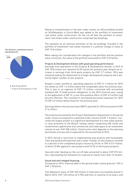

The divisions' contribution toward operating profit

> Real Estate 88.0% Projects & Development 12.0%

Owing to reclassification in the year under review, an office building located on Schiffbauplatz in Zurich-West was added to the portfolio of investment real estate under construction. On the cut-off date the portfolio of investment real estate under construction comprised two buildings.

The valuation by an external estimator of the 64 buildings included in the portfolio of investment real estate resulted in a positive change in value of CHF 15.8 million.

When taking into consideration the changes in the portfolio and the positive value correction, the value of the portfolio amounted to CHF 3.53 billion.

#### Projects & Development division with good operating performance

Earnings from operations in the Projects & Development division in 2015 of CHF 78.8 million are reported 23.3% below the previous year despite an increase in earnings from third-party projects by CHF 2.7 million. 2014 was characterised by the divestment of a larger development property and a distinctly higher number of own projects.

Despite a lower workforce, operating expenses of CHF 61.1 million for 2015 are shown as CHF 1.4 million above the comparable value the previous year. This is due to an expense of CHF 1.5 million connected with accounting standard IAS 19 (staff pension obligation). In the 2014 financial year, owing to the application of IAS 19, a one-time positive effect of CHF 4.5 million had become effective. This resulted in normalised personnel expenses for 2015 of CHF 6.0 million below those for the previous year.

Earnings before interest and taxes (EBIT) reported for 2015 amounted to CHF 21.6 million.

The projects processed by the Project Development department in the period under review correspond to a potential order volume of CHF 1.0 billion. Currently the largest project is a significant development of a new urban quarter in close proximity to the Bülach railway station comprising 450 rental and condominium apartments and commercial and trade space at an investment volume of over CHF 300 million. Construction start depends on the planning permission process and is expected for the second half of 2016.

In 2015, Allreal's restriction to implementing only projects with foreseeable risks and good profit potential and a lower number of own projects resulted in a decline of the completed project volume by 29.6% to CHF 612.9 million, of which 23.8% applied to own projects and 76.2% to third-party projects.

Secured order backlog on the cut-off date amounted to about CHF 815 million, representing full utilisation for a period of clearly more than 12 months.

#### Sound and well-hedged financing

Compared to 2014, financial debt in the period under review grew by 1.5% to CHF 1.78 billion

Two debenture loans of CHF 220 million in total were successfully placed in March 2015: CHF 120 million at 0.75% and time to maturity of six years; and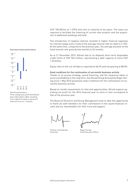

Overview of share performance

Overall performance: Price change plus profit distribution plus subscription rights resulting from capital increase in percent of share price as on 1 January  $\frac{1}{60}$   $\frac{1}{60}$   $\frac{1}{60}$   $\frac{1}{60}$   $\frac{1}{60}$ <br>Overall performance:<br>Price change plus profit distribution<br>plus subscription rights resulting<br>from capital increase in percent of<br>share price as on 1 January

CHF 100 Million at 1.375% and time to maturity of ten years. The loans are required to facilitate the financing of current own projects and the acquisition of additional buildings and land.

The introduction of negative interest resulted in higher financial expenses for interest swaps and a climb of the average interest rate for debt to 2.15%. At the same time, compared to the previous year, the average duration of the fixed interest rate grew by two months to 52 months.

As at 31 December 2015, Allreal had at its disposal short-term disposable credit limits of CHF 554 million, representing a debt capacity of some CHF 1.25 billion.

Equity ratio on the cut-off date is reported at 48.2% and net gearing at 88.0%.

#### Good conditions for the continuation of successful business activity

Thanks to its proven strategy, sound financing, and the measures taken to secure profitability in the long term, the Allreal Group directed by Roger Herzog since 1 May 2015 possesses intact conditions for the continuation of successful business activity.

Based on careful assessment of risks and opportunities, Allreal expects operating net profit for the 2016 financial year to more or less correspond to that of the previous year.

The Board of Directors and Group Management wish to take this opportunity to thank all staff members for their contribution to the sound financial results and our shareholders for their trust and support.

Thomas Lustenberger Chairman

Roger Herzog Chief Executive Officer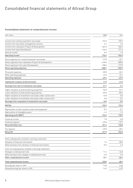# Consolidated financial statements of Allreal Group

### Consolidated statement of comprehensive income

| CHF million                                                   | 2015     | 2014     |
|---------------------------------------------------------------|----------|----------|
| Income from renting investment real estate                    | 174.9    | 159.2    |
| Income from real estate management services                   | 6.1      | 6.6      |
| Income from realisation Projects & Development                | 467.0    | 546.5    |
| Income from sales Development                                 | 126.3    | 211.6    |
| Diverse income                                                | 0.9      | 1.0      |
| Operating income                                              | 775.2    | 924.9    |
| Direct expenses for rented investment real estate             | $-31.8$  | $-25.1$  |
| Direct expenses from realisation Projects & Development       | $-418.6$ | $-500.8$ |
| Direct expenses from sales Development                        | $-108.3$ | $-177.0$ |
| Direct operating expenses                                     | $-558.7$ | -702.9   |
| Personnel expenses                                            | $-55.5$  | $-53.1$  |
| Other operating expenses                                      | $-13.9$  | $-14.1$  |
| Operating expenses                                            | $-69.4$  | $-67.2$  |
| Capitalised company-produced assets                           | 11.5     | 21.5     |
| Earnings from sale of investment real estate                  | 21.1     | 3.1      |
| Higher valuation of yield-producing properties                | 54.0     | 81.1     |
| Lower valuation of yield-producing properties                 | $-52.0$  | $-86.3$  |
| Higher valuation of investment real estate under construction | 13.8     | 0.0      |
| Lower valuation of investment real estate under construction  | 0.0      | $-0.7$   |
| Earnings from revaluation of investment real estate           | 15.8     | $-5.9$   |
| <b>EBITDA</b>                                                 | 195.5    | 173.5    |
| Depreciation of other property, plant and equipment           | $-0.4$   | $-0.7$   |
| Depreciation of intangible assets                             | $-1.9$   | $-1.9$   |
| <b>Operating profit (EBIT)</b>                                | 193.2    | 170.9    |
| Financial income                                              | 1.8      | 0.8      |
| Financial expense                                             | $-43.6$  | $-37.9$  |
| Net profit before tax                                         | 151.4    | 133.8    |
| Tax expense                                                   | $-29.5$  | $-29.4$  |
| Net profit                                                    | 121.9    | 104.4    |
|                                                               |          |          |
| Items subsequently restated in earnings statement:            |          |          |
| Valuation of financial instruments                            | 1.5      | $-30.5$  |
| Deferred taxes from valuation of financial instruments        | $-0.3$   | 6.7      |
| Items not subsequently restated in earnings statement:        |          |          |
| Changes in staff pension fund                                 | 11.4     | $-16.0$  |
| Deferred taxes from changes in staff pension fund             | $-2.5$   | 3.5      |
| Other comprehensive income                                    | 10.1     | $-36.3$  |
| Total comprehensive income                                    | 132.0    | 68.1     |
| Earnings per share in CHF                                     | 7.66     | 6.56     |
| Diluted earnings per share in CHF                             | 7.67     | 6.57     |
|                                                               |          |          |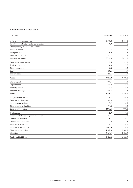### Consolidated balance sheet

| CHF million                               | 31.12.2015 | 31.12.2014 |
|-------------------------------------------|------------|------------|
|                                           |            |            |
| Yield-producing properties                | 3475.3     | 3509.6     |
| Investment real estate under construction | 49.9       | 4.0        |
| Other property, plant and equipment       | 1.6        | 1.6        |
| Financial assets                          | 143.4      | 142.5      |
| Intangible assets                         | 0.0        | 1.9        |
| Deferred tax assets                       | 42.2       | 31.7       |
| Non-current assets                        | 3712.4     | 3691.3     |
| Development real estate                   | 295.5      | 301.2      |
| Trade receivables                         | 96.4       | 75.8       |
| Other receivables                         | 8.3        | 8.0        |
| Cash                                      | 23.4       | 31.9       |
| <b>Current assets</b>                     | 423.6      | 416.9      |
| Assets                                    | 4136.0     | 4108.2     |
| Share capital                             | 797.1      | 797.1      |
| Capital reserves                          | 232.7      | 320.2      |
| Treasury shares                           | $-4.4$     | $-0.1$     |
| Retained earnings                         | 968.7      | 836.8      |
| Equity                                    | 1994.1     | 1954.0     |
| Long-term borrowings                      | 774.1      | 650.1      |
| Deferred tax liabilities                  | 163.4      | 135.6      |
| Long-term provisions                      | 7.2        | 3.9        |
| Other long-term liabilities               | 71.8       | 80.8       |
| Long-term liabilities                     | 1016.5     | 870.4      |
| Trade payables                            | 62.7       | 79.4       |
| Prepayments for development real estate   | 24.1       | 26.8       |
| <b>Current tax liabilities</b>            | 9.1        | 19.6       |
| Other current liabilities                 | 21.9       | 47.8       |
| Short-term provisions                     | 4.1        | 10.0       |
| Short-term borrowings                     | 1003.5     | 1100.2     |
| Short-term liabilities                    | 1125.4     | 1283.8     |
| Liabilities                               | 2141.9     | 2154.2     |
| <b>Equity and liabilities</b>             | 4136.0     | 4108.2     |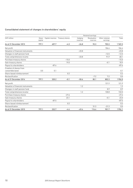# Consolidated statement of changes in shareholders' equity

|                                             |                  |         | Retained earnings                |                     |                         |                            |         |
|---------------------------------------------|------------------|---------|----------------------------------|---------------------|-------------------------|----------------------------|---------|
| CHF million                                 | Share<br>capital |         | Capital reserves Treasury shares | Hedging<br>reserves | Revaluation<br>reserves | Other retained<br>earnings | Total   |
| As at 31 December 2013                      | 797.1            | 407.7   | $-4.3$                           | $-26.8$             | 92.3                    | 703.3                      | 1969.3  |
| Net profit                                  |                  |         |                                  |                     |                         | 104.4                      | 104.4   |
| Valuation of financial instruments          |                  |         |                                  | $-23.8$             |                         |                            | $-23.8$ |
| Changes in staff pension fund               |                  |         |                                  |                     |                         | $-12.5$                    | $-12.5$ |
| Total comprehensive income                  |                  |         |                                  | $-23.8$             |                         | 91.9                       | 68.1    |
| Purchase treasury shares                    |                  |         | $-15.0$                          |                     |                         |                            | $-15.0$ |
| Sale treasury shares                        |                  |         | 19.0                             |                     |                         | $-0.1$                     | 18.9    |
| Payout to shareholders                      |                  | $-87.6$ |                                  |                     |                         |                            | $-87.6$ |
| Creation of shares from<br>convertible bond | 0.0              | 0.1     |                                  |                     |                         |                            | 0.1     |
| Share-based reimbursement                   |                  |         | 0.2                              |                     |                         |                            | 0.2     |
| Reclassification                            |                  |         |                                  |                     | $-7.2$                  | 7.2                        | 0.0     |
| As at 31 December 2014                      | 797.1            | 320.2   | $-0.1$                           | $-50.6$             | 85.1                    | 802.3                      | 1954.0  |
| Net profit                                  |                  |         |                                  |                     |                         | 121.9                      | 121.9   |
| Valuation of financial instruments          |                  |         |                                  | 1.2                 |                         |                            | 1.2     |
| Changes in staff pension fund               |                  |         |                                  |                     |                         | 8.9                        | 8.9     |
| Total comprehensive income                  |                  |         |                                  | 1.2                 |                         | 130.8                      | 132.0   |
| Purchase treasury shares                    |                  |         | $-27.6$                          |                     |                         |                            | $-27.6$ |
| Sale treasury shares                        |                  |         | 23.1                             |                     |                         | $-0.1$                     | 23.0    |
| Payout to shareholders                      |                  | $-87.5$ |                                  |                     |                         |                            | $-87.5$ |
| Share-based reimbursement                   |                  |         | 0.2                              |                     |                         |                            | 0.2     |
| Reclassification                            |                  |         |                                  |                     | 31.3                    | $-31.3$                    | 0.0     |
| As at 31 December 2015                      | 797.1            | 232.7   | $-4.4$                           | $-49.4$             | 116.4                   | 901.7                      | 1994.1  |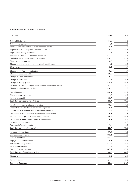### Consolidated cash flow statement

| CHF million                                                    | 2015     | 2014     |
|----------------------------------------------------------------|----------|----------|
| Net profit before tax                                          | 151.4    | 133.8    |
| Net financial expenses                                         | 41.8     | 37.1     |
| Earnings from revaluation of investment real estate            | $-15.8$  | 5.9      |
| Depreciation other property, plant and equipment               | 0.4      | 0.7      |
| Depreciation intangible assets                                 | 1.9      | 1.9      |
| Earnings from sale of investment real estate                   | $-21.1$  | $-3.1$   |
| Capitalisation of company produced assets                      | $-10.2$  | $-11.9$  |
| Share-based reimbursement                                      | 0.2      | 0.2      |
| Change in pension fund obligations affecting net income        | 1.5      | $-4.5$   |
| Other items                                                    | 2.2      | $-0.9$   |
| Change in development real estate                              | 13.5     | 89.9     |
| Change in trade receivables                                    | $-20.6$  | $-1.5$   |
| Change in other receivables                                    | $-0.4$   | $-3.4$   |
| Change in provisions                                           | $-2.5$   | 0.3      |
| Change in trade payables                                       | $-16.8$  | $-40.2$  |
| Increase (decrease) of prepayments for development real estate | $-2.7$   | 6.5      |
| Change in other current liabilities                            | $-24.1$  | 11.3     |
| Cost of finance paid                                           | $-38.0$  | $-35.1$  |
| Financial income received                                      | 1.7      | 0.5      |
| Income taxes paid                                              | $-28.7$  | $-29.0$  |
| Cash flow from operating activities                            | 33.7     | 158.5    |
| Investment in yield-producing properties                       | $-73.4$  | $-27.1$  |
| Proceeds from sale of yield-producing properties               | 115.3    | 54.1     |
| Investment in investment real estate under construction        | $-16.7$  | $-235.0$ |
| Divestment of investment real estate under construction        | 0.0      | 7.8      |
| Acquisition other property, plant and equipment                | $-0.4$   | $-0.4$   |
| Divestment of other property, plant and equipment              | 0.0      | 0.0      |
| Increase financial assets                                      | $-11.2$  | $-3.2$   |
| Decrease in financial assets                                   | 9.1      | 5.3      |
| Cash flow from investing activities                            | 22.7     | $-198.5$ |
| Increase in borrowings                                         | 159.0    | 500.0    |
| Decrease in borrowings                                         | $-353.2$ | $-294.4$ |
| Issue of bond loan                                             | 221.1    | 124.6    |
| Repayment convertible bond                                     | 0.0      | $-199.8$ |
| Purchase treasury shares                                       | $-27.6$  | $-15.0$  |
| Sale treasury shares                                           | 23.3     | 19.1     |
| Payout of capital reserves                                     | $-87.5$  | $-87.6$  |
| Cash flow from financing activities                            | $-64.9$  | 46.9     |
| Change in cash                                                 | $-8.5$   | 6.9      |
| Cash at 1 January                                              | 31.9     | 25.0     |
| Cash at 31 December                                            | 23.4     | 31.9     |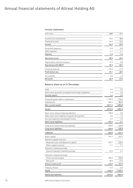# Annual financial statements of Allreal Holding AG

#### Income statement

| CHF million                    | 2015    | 2014    |
|--------------------------------|---------|---------|
| Income from investments        | 30.0    | 38.0    |
| Financial income               | 20.3    | 24.0    |
| Income                         | 50.3    | 62.0    |
| Personnel expenses             | $-0.6$  | $-0.5$  |
| Other expense                  | $-1.2$  | $-1.1$  |
| Expense                        | $-1.8$  | $-1.6$  |
| Operating result               | 48.5    | 60.4    |
| Depreciation and amortisation  | $-9.2$  | 0.0     |
| <b>Operating profit (EBIT)</b> | 39.3    | 60.4    |
| Financial expense              | $-10.2$ | $-11.7$ |
| Profit before tax              | 29.1    | 48.7    |
| Tax expense                    | $-0.2$  | $-1.2$  |
| Net profit                     | 28.9    | 47.5    |

### Balance sheet as at 31 December

| Cash                                                | 2.6         | 0.7    |
|-----------------------------------------------------|-------------|--------|
| Short-term accounts receivable from Group companies | 1.8         | 3.0    |
| <b>Current assets</b>                               | 4.4         | 3.7    |
| Financial assets held in investments                | 1 1 0 6 . 5 | 970.0  |
| Investments                                         | 904.6       | 883.8  |
| Non-current assets                                  | 2011.1      | 1853.8 |
| Assets                                              | 2015.5      | 1857.5 |
| Short-term interest-bearing liabilities             | 150.0       | 0.0    |
| Other short-term liabilities towards third parties  | 0.3         | 1.2    |
| Accrued expenses and prepaid income                 | 6.7         | 4.9    |
| Short-term liabilities                              | 157.0       | 6.1    |
| Long-term interest-bearing liabilities              | 495.0       | 425.0  |
| Long-term liabilities                               | 495.0       | 425.0  |
| Liabilities                                         | 652.0       | 431.1  |
| Share capital                                       | 797.1       | 797.1  |
| Statutory capital reserves                          |             |        |
| Reserves from contribution of capital               | 232.7       | 320.2  |
| Other capital reserves                              | 7.1         | 7.1    |
| Statutory retained earnings                         |             |        |
| General statutory retained earnings                 | 12.2        | 4.7    |
| Voluntary retained earnings                         |             |        |
| Profit carried forward                              | 290.0       | 250.0  |
| Net profit                                          | 28.9        | 47.5   |
| Balance sheet profit                                | 318.9       | 297.5  |
| Treasury shares                                     | $-4.5$      | $-0.2$ |
| Equity                                              | 1363.5      | 1426.4 |
| <b>Equity and liabilities</b>                       | 2015.5      | 1857.5 |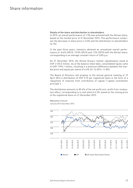# Share information

#### Details of the share and distribution to shareholders

In 2015, an overall performance of 1.5% was achieved with the Allreal share, based on the market price of 31 December 2015. This performance comprises the decrease in share price (-2.6%) and the distribution to shareholders (4.1%).

In the past three years, investors obtained an annualised overall performance of −8.6% (2013), 15.5% (2014) and 1.5% (2015) with the Allreal share, corresponding to an average constant return of 3.8% p.a.

On 31 December 2015, the Allreal Group's market capitalisation stood at CHF 2 125.5 million. As at the balance sheet date, consolidated equity came to CHF 1 994.1 million, resulting in a premium (difference between the market price and equity per share) of 6.6% (31.12.2014: 11.8%).

The Board of Directors will propose to the annual general meeting of 15 April 2016 a distribution of CHF 5.75 per registered share in the form of a repayment of reserves from contribution of capital ("capital contribution principle").

The distribution amounts to 83.6% of the net profit excl. profit from revaluation effect, corresponding to a cash yield of 4.3%, based on the closing price of the registered share on 31 December 2015.



Share price (indexed) January 2015–December 2015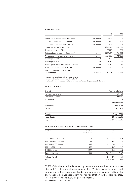#### Key share data

|                                                   |             | 2015       | 2014        |
|---------------------------------------------------|-------------|------------|-------------|
| Issued share capital on 31 December               | CHF million | 797.1      | 797.1       |
| Approved capital on 31 December                   | CHF million | 100.0      | 100.0       |
| Conditional capital on 31 December                | CHF million | 134.8      | 134.8       |
| Issued shares on 31 December                      | number      | 15942821   | 15942821    |
| Treasury shares on 31 December                    | number      | 33 2 2 0   | 1568        |
| Outstanding shares on 31 December <sup>1</sup>    | number      | 15 909 601 | 15 941 253  |
| Annual average of outstanding shares <sup>2</sup> | number      | 15 907 369 | 15929684    |
| Market price high                                 | <b>CHF</b>  | 149.20     | 138.20      |
| Market price low                                  | <b>CHF</b>  | 126.60     | 120.20      |
| Market price on 31 December (tax value)           | <b>CHF</b>  | 133.60     | 137.10      |
| Market capitalisation on 31 December <sup>3</sup> | CHF million | 2125.5     | 2 1 8 5 . 5 |
| Average trading volume per day                    | number      |            |             |
| (on-exchange)                                     | of shares   | 14 2 2 4   | 11432       |

<sup>1</sup> Number of shares issued minus treasury shares

<sup>2</sup> Average outstanding shares according to IAS 33

<sup>3</sup> Market price on 31 December multiplied by number of outstanding shares on 31 December

#### Share statistics

| Share type          | Registered share      |
|---------------------|-----------------------|
| Par value per share | <b>CHF 50</b>         |
| Securities number   | 883756                |
| SIX symbol          | <b>ALLN</b>           |
| <b>ISIN</b>         | CH0008837566          |
| Bloomberg           | <b>ALLN SW</b>        |
| Reuters             | ALLN. S               |
| Ex date             | 19 April 2016         |
| Record date         | 20 April 2016         |
| Payment date        | as from 21 April 2016 |

#### Shareholder structure as at 31 December 2015

| Number                       | Number          | Number    | $\frac{0}{0}$ |
|------------------------------|-----------------|-----------|---------------|
| of shares                    | of shareholders | of shares |               |
|                              |                 |           |               |
| $>$ 478 284 shares ( $>$ 3%) | 7               | 4911174   | 30.8          |
| 100 001-478 254 shares       | 16              | 3 147 534 | 19.7          |
| 10001-100000 shares          | 115             | 3630753   | 22.8          |
| 1001-10 000 shares           | 409             | 1143537   | 7.2           |
| $1-1000$ shares              | 2897            | 707548    | 4.4           |
| <b>Total registered</b>      | 3444            | 13540546  | 84.9          |
| Not registered               |                 | 2402275   | 15.1          |
| <b>Total shares</b>          |                 | 15942821  | 100           |

53.7% of the share capital is owned by pension funds and insurance companies and 9.1% by natural persons. A further 22.1% is owned by other legal entities as well as investment funds, foundations and banks. 15.1% of the share capital has not been submitted for registration in the share register. Foreign investors own 6.8% (registered shares).

14 2015 Annual Report Shortform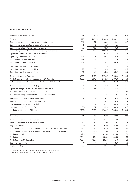# Multi-year overview

| Key financial figures (in CHF million)                               | 2015    | 2014     | 2013        | 2012        | 2011     |
|----------------------------------------------------------------------|---------|----------|-------------|-------------|----------|
| Total sales                                                          | 793.9   | 1036.4   | 1 242.3     | 1086.1      | 886.1    |
| Earnings from rental and sale of investment real estate              | 164.2   | 137.2    | 146.2       | 122.1       | 124.7    |
| Earnings from real estate management services                        | 6.1     | 6.6      | 6.8         | 4.4         |          |
| Earnings from Projects & Development division                        | 78.8    | 102.8    | 110.7       | 115.8       | 117.5    |
| Completed project volume Projects & Development division             | 612.9   | 870.6    | 1 087.0     | 939.6       | 743.2    |
| Operating profit (EBIT) incl. revaluation gains                      | 193.2   | 170.9    | 192.8       | 161.7       | 226.7    |
| Operating profit (EBIT) excl. revaluation gains                      | 177.4   | 176.8    | 184.7       | 169.9       | 182.0    |
| Net profit incl. revaluation effect                                  | 121.9   | 104.4    | 121.8       | 97.5        | 146.8    |
| Net profit excl. revaluation effect                                  | 109.7   | 109.1    | 116.1       | 104.6       | 115.0    |
| Cash flow from operating activities                                  | 33.7    | 158.5    | 157.6       | 72.2        | $-22.9$  |
| Cash flow from investing activities                                  | 22.7    | $-198.5$ | $-116.3$    | $-203.2$    | $-175.5$ |
| Cash flow from financing activities                                  | $-64.9$ | 46.9     | $-42.4$     | 85.2        | 236.4    |
| Total assets as at 31 December                                       | 4136.0  | 4108.2   | 3 9 9 4.7   | 3 9 28.4    | 3700.5   |
| Market value of investment real estate on 31 December                | 3525.2  | 3513.6   | 3 4 4 5 . 8 | 3 159.0     | 2 951.0  |
| Balance sheet value development real estate as at 31 December        | 295.5   | 301.2    | 382.5       | 594.8       | 533.0    |
| Net yield investment real estate (%)                                 | 4.2     | 4.5      | 4.8         | 4.9         | 5.1      |
| Operating margin Projects & Development division (%)                 | 27.4    | 44.9     | 40.8        | 46.7        | 55.6     |
| Average interest rate on financial liabilities (%)                   | 2.15    | 1.93     | 2.13        | 2.13        | 2.30     |
| Average remaining term of financial liabilities (months)             | 52      | 50       | 56          | 54          | 51       |
| Return on equity incl. revaluation effect (%)                        | 6.2     | 5.3      | 6.3         | 5.5         | 9.2      |
| Return on equity excl. revaluation effect (%)                        | 5.9     | 5.4      | 6.2         | 6.0         | 7.6      |
| Share of equity on 31 December (%)                                   | 48.2    | 47.6     | 49.3        | 48.6        | 43.6     |
| Net gearing on 31 December [%]                                       | 88.0    | 87.9     | 80.8        | 80.6        | 98.7     |
| Market capitalisation on 31 December                                 | 2125.5  | 2185.5   | 1964.7      | 2 2 4 8 . 3 | 1863.3   |
| Share (in CHF)                                                       | 2015    | 2014     | 2013        | 2012        | 2011     |
| Earnings per share incl. revaluation effect                          | 7.66    | 6.56     | 7.66        | 6.30        | 10.56    |
| Earnings per share excl. revaluation effect                          | 6.89    | 6.85     | 7.29        | 6.76        | 8.27     |
| Payout per share                                                     | 5.751   | 5.50     | 5.50        | 5.50        | 5.50     |
| Net asset value (NAV) per share before deferred taxes on 31 December | 132.90  | 129.10   | 130.90      | 125.80      | 125.45   |
| Net asset value (NAV) per share after deferred taxes on 31 December  | 125.35  | 122.55   | 123.80      | 119.70      | 118.25   |
| Market price high                                                    | 149.20  | 138.20   | 141.60      | 149.40      | 148.00   |
| Market price low                                                     | 126.60  | 120.20   | 120.80      | 134.00      | 128.00   |
| Market price on 31 December                                          | 133.60  | 137.10   | 123.50      | 141.10      | 136.50   |
| Cash yield payout (%)                                                | 4.3     | 4.0      | 4.5         | 3.9         | 4.0      |
| Payout ratio (%)                                                     | 83.6    | 80.4     | 75.6        | 83.4        | 65.2     |

<sup>1</sup> Proposal of the Board of Directors to the annual general meeting of 15 April 2016

by means of repayment of reserves from contribution of capital